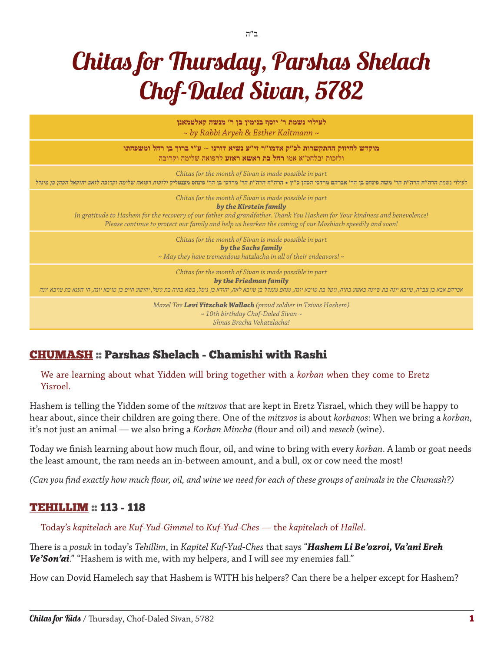# Chitas for Thursday, Parshas Shelach Chof-Daled Sivan, 5782

| לעילוי נשמת ר' יוסף בנימין בן ר' מנשה קאלטמאנן<br>$\sim$ by Rabbi Aryeh & Esther Kaltmann $\sim$                                                                                                                                                                                                                          |
|---------------------------------------------------------------------------------------------------------------------------------------------------------------------------------------------------------------------------------------------------------------------------------------------------------------------------|
| מוקדש לחיזוק ההתקשרות לכ"ק אדמו"ר זי"ע נשיא דורנו ~ ע"י ברוך בן רחל ומשפחתו<br>ולזכות יבלחט"א אמו רחל בת ראשא ראזע לרפואה שלימה וקרובה                                                                                                                                                                                    |
| Chitas for the month of Sivan is made possible in part<br>לעילוי נשמת הרה"ח הר"ת הר' משה פינחס בן הר' אברהם מרדכי הכהן כ"ץ • הרה"ח הר' מרדכי בן הר' פינחס מענטליק ולזכות רפואה שלימה וקרובה לזאב יחזקאל הכהן בן מינדל                                                                                                     |
| Chitas for the month of Sivan is made possible in part<br>by the Kirstein family<br>In gratitude to Hashem for the recovery of our father and grandfather. Thank You Hashem for Your kindness and benevolence!<br>Please continue to protect our family and help us hearken the coming of our Moshiach speedily and soon! |
| Chitas for the month of Sivan is made possible in part<br>by the Sachs family<br>$\sim$ May they have tremendous hatzlacha in all of their endeavors! $\sim$                                                                                                                                                              |
| Chitas for the month of Sivan is made possible in part<br>by the Friedman family<br>אברהם אבא בן צביה, טויבא יונה בת שיינה באשע בתיה, גיטל בת טויבא ומחם מענדל בן טויבא לאה, יהוש את המשל משל יהושע חיים בן טויבא יונה, חי הענא בת טויבא יונה, חי הענא בת טויבא יונה                                                      |
| Mazel Tov Levi Yitzchak Wallach (proud soldier in Tzivos Hashem)<br>$\sim$ 10th birthday Chof-Daled Sivan $\sim$<br>Shnas Bracha Vehatzlacha!                                                                                                                                                                             |

## [CHUMASH](http://chabad.org/dailystudy) :: Parshas Shelach - Chamishi with Rashi

We are learning about what Yidden will bring together with a *korban* when they come to Eretz Yisroel.

Hashem is telling the Yidden some of the *mitzvos* that are kept in Eretz Yisrael, which they will be happy to hear about, since their children are going there. One of the *mitzvos* is about *korbanos*: When we bring a *korban*, it's not just an animal — we also bring a *Korban Mincha* (flour and oil) and *nesech* (wine).

Today we finish learning about how much flour, oil, and wine to bring with every *korban*. A lamb or goat needs the least amount, the ram needs an in-between amount, and a bull, ox or cow need the most!

*(Can you find exactly how much flour, oil, and wine we need for each of these groups of animals in the Chumash?)*

#### [TEHILLIM](http://chabad.org/dailystudy) :: 113 - 118

Today's *kapitelach* are *Kuf*-*Yud*-*Gimmel* to *Kuf*-*Yud*-*Ches* — the *kapitelach* of *Hallel*.

There is a *posuk* in today's *Tehillim*, in *Kapitel Kuf*-*Yud*-*Ches* that says "*Hashem Li Be'ozroi, Va'ani Ereh Ve'Son'ai*." "Hashem is with me, with my helpers, and I will see my enemies fall."

How can Dovid Hamelech say that Hashem is WITH his helpers? Can there be a helper except for Hashem?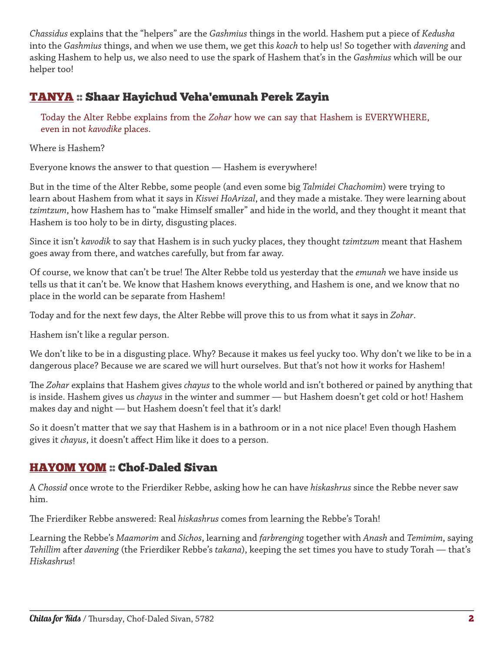*Chassidus* explains that the "helpers" are the *Gashmius* things in the world. Hashem put a piece of *Kedusha* into the *Gashmius* things, and when we use them, we get this *koach* to help us! So together with *davening* and asking Hashem to help us, we also need to use the spark of Hashem that's in the *Gashmius* which will be our helper too!

## [TANYA](http://chabad.org/dailystudy) :: Shaar Hayichud Veha'emunah Perek Zayin

Today the Alter Rebbe explains from the *Zohar* how we can say that Hashem is EVERYWHERE, even in not *kavodike* places.

Where is Hashem?

Everyone knows the answer to that question — Hashem is everywhere!

But in the time of the Alter Rebbe, some people (and even some big *Talmidei Chachomim*) were trying to learn about Hashem from what it says in *Kisvei HoArizal*, and they made a mistake. They were learning about *tzimtzum*, how Hashem has to "make Himself smaller" and hide in the world, and they thought it meant that Hashem is too holy to be in dirty, disgusting places.

Since it isn't *kavodik* to say that Hashem is in such yucky places, they thought *tzimtzum* meant that Hashem goes away from there, and watches carefully, but from far away.

Of course, we know that can't be true! The Alter Rebbe told us yesterday that the *emunah* we have inside us tells us that it can't be. We know that Hashem knows everything, and Hashem is one, and we know that no place in the world can be separate from Hashem!

Today and for the next few days, the Alter Rebbe will prove this to us from what it says in *Zohar*.

Hashem isn't like a regular person.

We don't like to be in a disgusting place. Why? Because it makes us feel yucky too. Why don't we like to be in a dangerous place? Because we are scared we will hurt ourselves. But that's not how it works for Hashem!

The *Zohar* explains that Hashem gives *chayus* to the whole world and isn't bothered or pained by anything that is inside. Hashem gives us *chayus* in the winter and summer — but Hashem doesn't get cold or hot! Hashem makes day and night — but Hashem doesn't feel that it's dark!

So it doesn't matter that we say that Hashem is in a bathroom or in a not nice place! Even though Hashem gives it *chayus*, it doesn't affect Him like it does to a person.

## [HAYOM YOM](http://chabad.org/dailystudy) :: Chof-Daled Sivan

A *Chossid* once wrote to the Frierdiker Rebbe, asking how he can have *hiskashrus* since the Rebbe never saw him.

The Frierdiker Rebbe answered: Real *hiskashrus* comes from learning the Rebbe's Torah!

Learning the Rebbe's *Maamorim* and *Sichos*, learning and *farbrenging* together with *Anash* and *Temimim*, saying *Tehillim* after *davening* (the Frierdiker Rebbe's *takana*), keeping the set times you have to study Torah — that's *Hiskashrus*!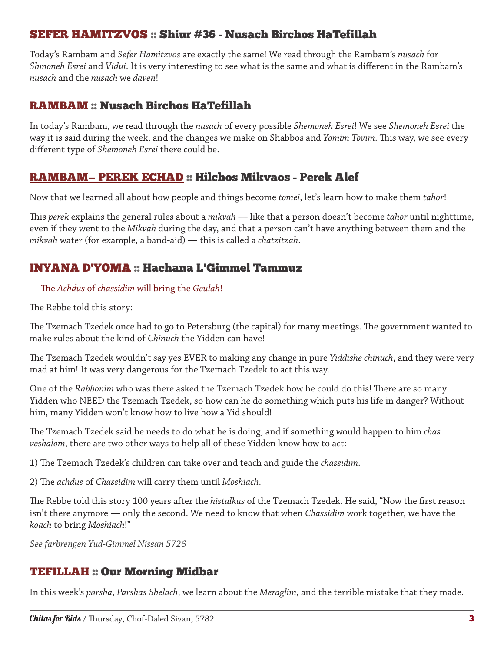#### [SEFER HAMITZVOS](http://chabad.org/dailystudy) :: Shiur #36 - Nusach Birchos HaTefillah

Today's Rambam and *Sefer Hamitzvos* are exactly the same! We read through the Rambam's *nusach* for *Shmoneh Esrei* and *Vidui*. It is very interesting to see what is the same and what is different in the Rambam's *nusach* and the *nusach* we *daven*!

### [RAMBAM](http://chabad.org/dailystudy) :: Nusach Birchos HaTefillah

In today's Rambam, we read through the *nusach* of every possible *Shemoneh Esrei*! We see *Shemoneh Esrei* the way it is said during the week, and the changes we make on Shabbos and *Yomim Tovim*. This way, we see every different type of *Shemoneh Esrei* there could be.

#### RAMBAM— PEREK ECHAD :: Hilchos Mikvaos - Perek Alef

Now that we learned all about how people and things become *tomei*, let's learn how to make them *tahor*!

This *perek* explains the general rules about a *mikvah* — like that a person doesn't become *tahor* until nighttime, even if they went to the *Mikvah* during the day, and that a person can't have anything between them and the *mikvah* water (for example, a band-aid) — this is called a *chatzitzah*.

## INYANA D'YOMA :: Hachana L'Gimmel Tammuz

#### The *Achdus* of *chassidim* will bring the *Geulah*!

The Rebbe told this story:

The Tzemach Tzedek once had to go to Petersburg (the capital) for many meetings. The government wanted to make rules about the kind of *Chinuch* the Yidden can have!

The Tzemach Tzedek wouldn't say yes EVER to making any change in pure *Yiddishe chinuch*, and they were very mad at him! It was very dangerous for the Tzemach Tzedek to act this way.

One of the *Rabbonim* who was there asked the Tzemach Tzedek how he could do this! There are so many Yidden who NEED the Tzemach Tzedek, so how can he do something which puts his life in danger? Without him, many Yidden won't know how to live how a Yid should!

The Tzemach Tzedek said he needs to do what he is doing, and if something would happen to him *chas veshalom*, there are two other ways to help all of these Yidden know how to act:

1) The Tzemach Tzedek's children can take over and teach and guide the *chassidim*.

2) The *achdus* of *Chassidim* will carry them until *Moshiach*.

The Rebbe told this story 100 years after the *histalkus* of the Tzemach Tzedek. He said, "Now the first reason isn't there anymore — only the second. We need to know that when *Chassidim* work together, we have the *koach* to bring *Moshiach*!"

*See farbrengen Yud-Gimmel Nissan 5726*

#### TEFILLAH :: Our Morning Midbar

In this week's *parsha*, *Parshas Shelach*, we learn about the *Meraglim*, and the terrible mistake that they made.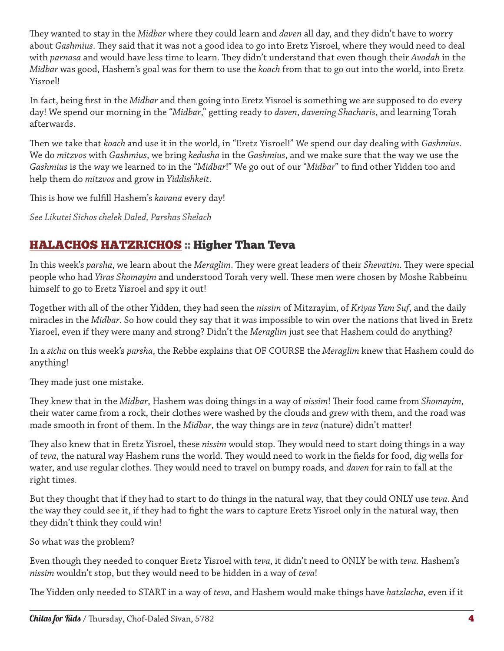They wanted to stay in the *Midbar* where they could learn and *daven* all day, and they didn't have to worry about *Gashmius*. They said that it was not a good idea to go into Eretz Yisroel, where they would need to deal with *parnasa* and would have less time to learn. They didn't understand that even though their *Avodah* in the *Midbar* was good, Hashem's goal was for them to use the *koach* from that to go out into the world, into Eretz Yisroel!

In fact, being first in the *Midbar* and then going into Eretz Yisroel is something we are supposed to do every day! We spend our morning in the "*Midbar*," getting ready to *daven*, *davening Shacharis*, and learning Torah afterwards.

Then we take that *koach* and use it in the world, in "Eretz Yisroel!" We spend our day dealing with *Gashmius*. We do *mitzvos* with *Gashmius*, we bring *kedusha* in the *Gashmius*, and we make sure that the way we use the *Gashmius* is the way we learned to in the "*Midbar*!" We go out of our "*Midbar*" to find other Yidden too and help them do *mitzvos* and grow in *Yiddishkeit*.

This is how we fulfill Hashem's *kavana* every day!

*See Likutei Sichos chelek Daled, Parshas Shelach*

## HALACHOS HATZRICHOS :: Higher Than Teva

In this week's *parsha*, we learn about the *Meraglim*. They were great leaders of their *Shevatim*. They were special people who had *Yiras Shomayim* and understood Torah very well. These men were chosen by Moshe Rabbeinu himself to go to Eretz Yisroel and spy it out!

Together with all of the other Yidden, they had seen the *nissim* of Mitzrayim, of *Kriyas Yam Suf*, and the daily miracles in the *Midbar*. So how could they say that it was impossible to win over the nations that lived in Eretz Yisroel, even if they were many and strong? Didn't the *Meraglim* just see that Hashem could do anything?

In a *sicha* on this week's *parsha*, the Rebbe explains that OF COURSE the *Meraglim* knew that Hashem could do anything!

They made just one mistake.

They knew that in the *Midbar*, Hashem was doing things in a way of *nissim*! Their food came from *Shomayim*, their water came from a rock, their clothes were washed by the clouds and grew with them, and the road was made smooth in front of them. In the *Midbar*, the way things are in *teva* (nature) didn't matter!

They also knew that in Eretz Yisroel, these *nissim* would stop. They would need to start doing things in a way of *teva*, the natural way Hashem runs the world. They would need to work in the fields for food, dig wells for water, and use regular clothes. They would need to travel on bumpy roads, and *daven* for rain to fall at the right times.

But they thought that if they had to start to do things in the natural way, that they could ONLY use *teva*. And the way they could see it, if they had to fight the wars to capture Eretz Yisroel only in the natural way, then they didn't think they could win!

So what was the problem?

Even though they needed to conquer Eretz Yisroel with *teva*, it didn't need to ONLY be with *teva*. Hashem's *nissim* wouldn't stop, but they would need to be hidden in a way of *teva*!

The Yidden only needed to START in a way of *teva*, and Hashem would make things have *hatzlacha*, even if it